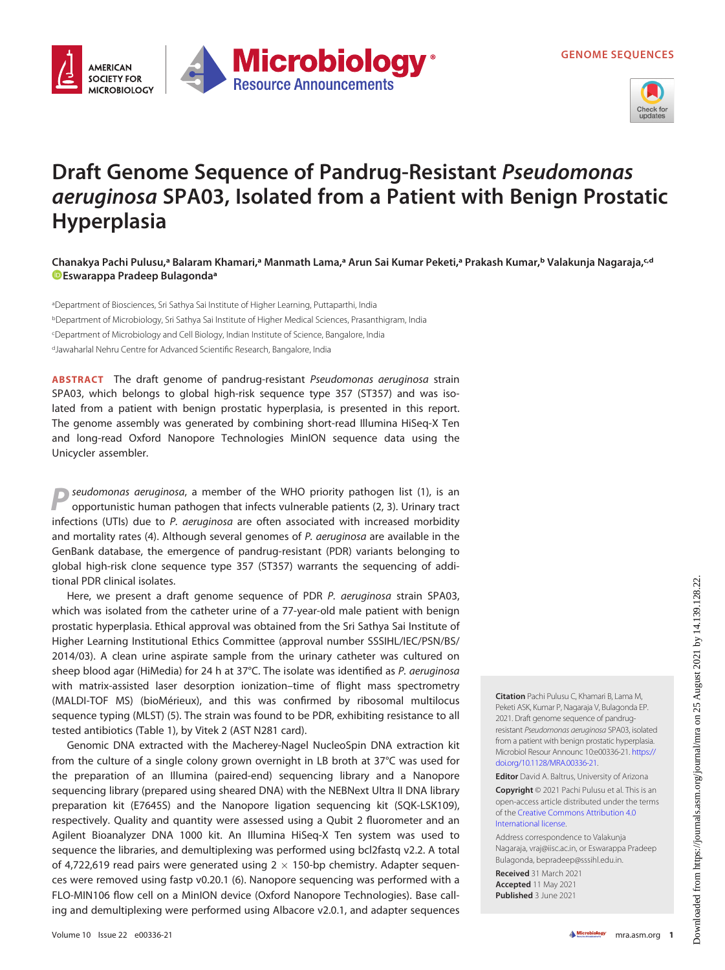

## Draft Genome Sequence of Pandrug-Resistant Pseudomonas aeruginosa SPA03, Isolated from a Patient with Benign Prostatic Hyperplasia

**Microbiology** 

**Resource Announcements** 

## Chanakya Pachi Pulusu,ª Balaram Khamari,ª Manmath Lama,ª Arun Sai Kumar Peketi,ª Prakash Kumar,ʰ Valakunja Nagaraja,<sup>c.d</sup> [Eswarappa Pradeep Bulagonda](https://orcid.org/0000-0001-8022-8168)a

aDepartment of Biosciences, Sri Sathya Sai Institute of Higher Learning, Puttaparthi, India bDepartment of Microbiology, Sri Sathya Sai Institute of Higher Medical Sciences, Prasanthigram, India c Department of Microbiology and Cell Biology, Indian Institute of Science, Bangalore, India dJawaharlal Nehru Centre for Advanced Scientific Research, Bangalore, India

ABSTRACT The draft genome of pandrug-resistant Pseudomonas aeruginosa strain SPA03, which belongs to global high-risk sequence type 357 (ST357) and was isolated from a patient with benign prostatic hyperplasia, is presented in this report. The genome assembly was generated by combining short-read Illumina HiSeq-X Ten and long-read Oxford Nanopore Technologies MinION sequence data using the Unicycler assembler.

seudomonas aeruginosa, a member of the WHO priority pathogen list [\(1\)](#page-2-0), is an opportunistic human pathogen that infects vulnerable patients [\(2,](#page-2-1) [3\)](#page-2-2). Urinary tract infections (UTIs) due to P. aeruginosa are often associated with increased morbidity and mortality rates [\(4\)](#page-2-3). Although several genomes of P. aeruginosa are available in the GenBank database, the emergence of pandrug-resistant (PDR) variants belonging to global high-risk clone sequence type 357 (ST357) warrants the sequencing of additional PDR clinical isolates.

Here, we present a draft genome sequence of PDR P. aeruginosa strain SPA03, which was isolated from the catheter urine of a 77-year-old male patient with benign prostatic hyperplasia. Ethical approval was obtained from the Sri Sathya Sai Institute of Higher Learning Institutional Ethics Committee (approval number SSSIHL/IEC/PSN/BS/ 2014/03). A clean urine aspirate sample from the urinary catheter was cultured on sheep blood agar (HiMedia) for 24 h at 37°C. The isolate was identified as P. aeruginosa with matrix-assisted laser desorption ionization–time of flight mass spectrometry (MALDI-TOF MS) (bioMérieux), and this was confirmed by ribosomal multilocus sequence typing (MLST) ([5](#page-2-4)). The strain was found to be PDR, exhibiting resistance to all tested antibiotics ([Table 1](#page-1-0)), by Vitek 2 (AST N281 card).

Genomic DNA extracted with the Macherey-Nagel NucleoSpin DNA extraction kit from the culture of a single colony grown overnight in LB broth at 37°C was used for the preparation of an Illumina (paired-end) sequencing library and a Nanopore sequencing library (prepared using sheared DNA) with the NEBNext Ultra II DNA library preparation kit (E7645S) and the Nanopore ligation sequencing kit (SQK-LSK109), respectively. Quality and quantity were assessed using a Qubit 2 fluorometer and an Agilent Bioanalyzer DNA 1000 kit. An Illumina HiSeq-X Ten system was used to sequence the libraries, and demultiplexing was performed using bcl2fastq v2.2. A total of 4,722,619 read pairs were generated using  $2 \times 150$ -bp chemistry. Adapter sequences were removed using fastp v0.20.1 ([6](#page-2-5)). Nanopore sequencing was performed with a FLO-MIN106 flow cell on a MinION device (Oxford Nanopore Technologies). Base calling and demultiplexing were performed using Albacore v2.0.1, and adapter sequences

Citation Pachi Pulusu C, Khamari B, Lama M, Peketi ASK, Kumar P, Nagaraja V, Bulagonda EP. 2021. Draft genome sequence of pandrugresistant Pseudomonas aeruginosa SPA03, isolated from a patient with benign prostatic hyperplasia. Microbiol Resour Announc 10:e00336-21. [https://](https://doi.org/10.1128/MRA.00336-21) [doi.org/10.1128/MRA.00336-21.](https://doi.org/10.1128/MRA.00336-21)

**Editor** David A. Baltrus, University of Arizona

Copyright © 2021 Pachi Pulusu et al. This is an open-access article distributed under the terms of the [Creative Commons Attribution 4.0](https://creativecommons.org/licenses/by/4.0/) [International license](https://creativecommons.org/licenses/by/4.0/).

Address correspondence to Valakunja Nagaraja, vraj@iisc.ac.in, or Eswarappa Pradeep Bulagonda, bepradeep@sssihl.edu.in.

Received 31 March 2021 Accepted 11 May 2021 Published 3 June 2021

Downloaded from https://journals.asm.org/journal/mra on 25 August 2021 by 14.139.128.22.

Downloaded from https://journals.asm.org/journal/mra on 25 August 2021 by 14.139.128.22.

**AMFRICAN SOCIETY FOR** 

**MICROBIOLOGY**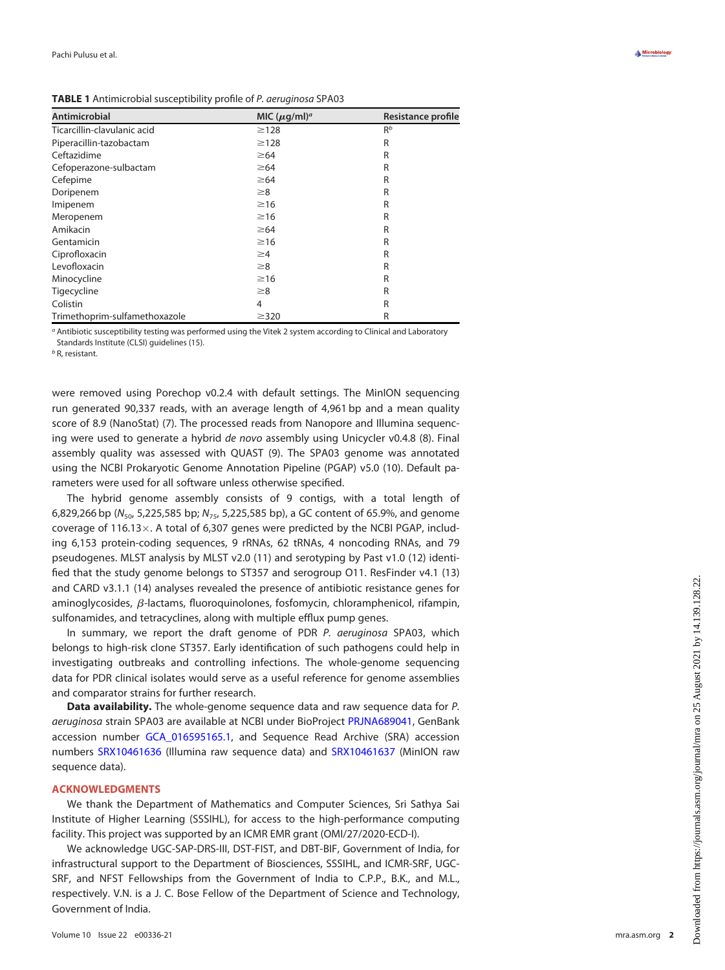<span id="page-1-0"></span>

|  | <b>TABLE 1</b> Antimicrobial susceptibility profile of P. aeruginosa SPA03 |  |
|--|----------------------------------------------------------------------------|--|
|  |                                                                            |  |

| Antimicrobial                 | MIC $(\mu q/ml)^a$ | <b>Resistance profile</b> |
|-------------------------------|--------------------|---------------------------|
| Ticarcillin-clavulanic acid   | $\geq$ 128         | $R^b$                     |
| Piperacillin-tazobactam       | $\geq$ 128         | R                         |
| Ceftazidime                   | $\geq 64$          | R                         |
| Cefoperazone-sulbactam        | $\geq 64$          | R                         |
| Cefepime                      | $\geq 64$          | R                         |
| Doripenem                     | $\geq 8$           | R                         |
| Imipenem                      | $\geq 16$          | R                         |
| Meropenem                     | $\geq 16$          | R                         |
| Amikacin                      | $\geq 64$          | R                         |
| Gentamicin                    | $\geq 16$          | R                         |
| Ciprofloxacin                 | $\geq 4$           | R                         |
| Levofloxacin                  | $\geq 8$           | R                         |
| Minocycline                   | $\geq 16$          | R                         |
| Tigecycline                   | $\geq 8$           | R                         |
| Colistin                      | 4                  | R                         |
| Trimethoprim-sulfamethoxazole | $\geq$ 320         | R                         |

<sup>a</sup> Antibiotic susceptibility testing was performed using the Vitek 2 system according to Clinical and Laboratory Standards Institute (CLSI) guidelines [\(15\)](#page-2-14).

<sup>b</sup> R, resistant.

were removed using Porechop v0.2.4 with default settings. The MinION sequencing run generated 90,337 reads, with an average length of 4,961 bp and a mean quality score of 8.9 (NanoStat) ([7](#page-2-6)). The processed reads from Nanopore and Illumina sequencing were used to generate a hybrid de novo assembly using Unicycler v0.4.8 [\(8\)](#page-2-7). Final assembly quality was assessed with QUAST [\(9\)](#page-2-8). The SPA03 genome was annotated using the NCBI Prokaryotic Genome Annotation Pipeline (PGAP) v5.0 ([10\)](#page-2-9). Default parameters were used for all software unless otherwise specified.

The hybrid genome assembly consists of 9 contigs, with a total length of 6,829,266 bp ( $N_{50}$ , 5,225,585 bp;  $N_{75}$ , 5,225,585 bp), a GC content of 65.9%, and genome coverage of  $116.13\times$ . A total of 6,307 genes were predicted by the NCBI PGAP, including 6,153 protein-coding sequences, 9 rRNAs, 62 tRNAs, 4 noncoding RNAs, and 79 pseudogenes. MLST analysis by MLST v2.0 [\(11\)](#page-2-10) and serotyping by Past v1.0 [\(12](#page-2-11)) identified that the study genome belongs to ST357 and serogroup O11. ResFinder v4.1 [\(13](#page-2-12)) and CARD v3.1.1 [\(14\)](#page-2-13) analyses revealed the presence of antibiotic resistance genes for  $aminoglycosides,  $\beta$ -lactams, fluoroguinolones, fosfomycin, chloramphenicol, rifampin,$ sulfonamides, and tetracyclines, along with multiple efflux pump genes.

In summary, we report the draft genome of PDR P. aeruginosa SPA03, which belongs to high-risk clone ST357. Early identification of such pathogens could help in investigating outbreaks and controlling infections. The whole-genome sequencing data for PDR clinical isolates would serve as a useful reference for genome assemblies and comparator strains for further research.

Data availability. The whole-genome sequence data and raw sequence data for P. aeruginosa strain SPA03 are available at NCBI under BioProject [PRJNA689041,](https://www.ncbi.nlm.nih.gov/bioproject/?term=PRJNA689041) GenBank accession number [GCA\\_016595165.1,](https://www.ncbi.nlm.nih.gov/assembly/GCF_016595165.1) and Sequence Read Archive (SRA) accession numbers [SRX10461636](https://www.ncbi.nlm.nih.gov/sra/SRX10461636) (Illumina raw sequence data) and [SRX10461637](https://www.ncbi.nlm.nih.gov/sra/SRX10461637) (MinION raw sequence data).

## ACKNOWLEDGMENTS

We thank the Department of Mathematics and Computer Sciences, Sri Sathya Sai Institute of Higher Learning (SSSIHL), for access to the high-performance computing facility. This project was supported by an ICMR EMR grant (OMI/27/2020-ECD-I).

We acknowledge UGC-SAP-DRS-III, DST-FIST, and DBT-BIF, Government of India, for infrastructural support to the Department of Biosciences, SSSIHL, and ICMR-SRF, UGC-SRF, and NFST Fellowships from the Government of India to C.P.P., B.K., and M.L., respectively. V.N. is a J. C. Bose Fellow of the Department of Science and Technology, Government of India.